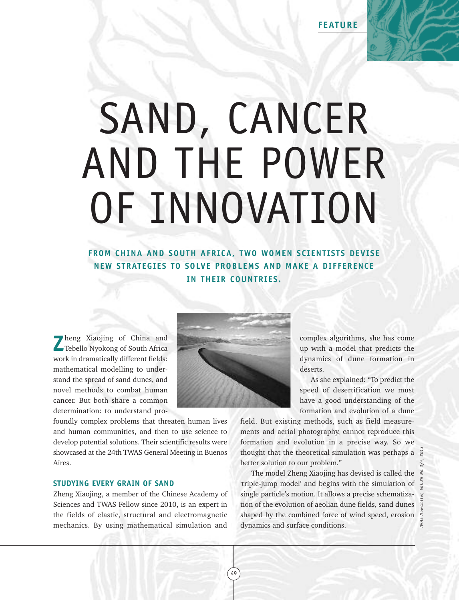## SAND, CANCER AND THE POWER OF INNOVATION

**FROM CHINA AND SOUTH AFRICA, TWO WOMEN SCIENTISTS DEVISE NEW STRATEGIES TO SOLVE PROBLEMS AND MAKE A DIFFERENCE IN THEIR COUNTRIES.**

**Z**heng Xiaojing of China and Tebello Nyokong of South Africa work in dramatically different fields: mathematical modelling to understand the spread of sand dunes, and novel methods to combat human cancer. But both share a common determination: to understand pro-

foundly complex problems that threaten human lives and human communities, and then to use science to develop potential solutions. Their scientific results were showcased at the 24th TWAS General Meeting in Buenos Aires.

## **STUDYING EVERY GRAIN OF SAND**

Zheng Xiaojing, a member of the Chinese Academy of Sciences and TWAS Fellow since 2010, is an expert in the fields of elastic, structural and electromagnetic mechanics. By using mathematical simulation and



complex algorithms, she has come up with a model that predicts the dynamics of dune formation in deserts.

As she explained: "To predict the speed of desertification we must have a good understanding of the formation and evolution of a dune

field. But existing methods, such as field measurements and aerial photography, cannot reproduce this formation and evolution in a precise way. So we thought that the theoretical simulation was perhaps a better solution to our problem."

The model Zheng Xiaojing has devised is called the 'triple-jump model' and begins with the simulation of single particle's motion. It allows a precise schematization of the evolution of aeolian dune fields, sand dunes shaped by the combined force of wind speed, erosion thought that the theoretical simulation was perhaps a  $\frac{32}{8}$ <br>better solution to our problem."<br>The model Zheng Xiaojing has devised is called the  $\frac{3}{8}$ <br>'triple-jump model' and begins with the simulation of  $\frac{3}{8}$ 

49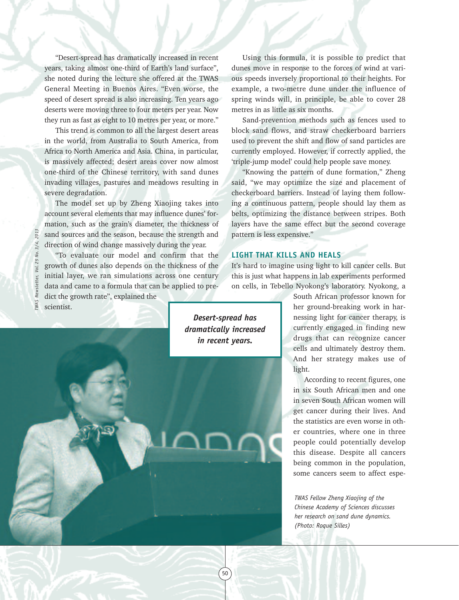"Desert-spread has dramatically increased in recent years, taking almost one-third of Earth's land surface", she noted during the lecture she offered at the TWAS General Meeting in Buenos Aires. "Even worse, the speed of desert spread is also increasing. Ten years ago deserts were moving three to four meters per year. Now they run as fast as eight to 10 metres per year, or more."

This trend is common to all the largest desert areas in the world, from Australia to South America, from Africa to North America and Asia. China, in particular, is massively affected; desert areas cover now almost one-third of the Chinese territory, with sand dunes invading villages, pastures and meadows resulting in severe degradation.

The model set up by Zheng Xiaojing takes into account several elements that may influence dunes' formation, such as the grain's diameter, the thickness of sand sources and the season, because the strength and direction of wind change massively during the year.

"To evaluate our model and confirm that the growth of dunes also depends on the thickness of the initial layer, we ran simulations across one century data and came to a formula that can be applied to predict the growth rate", explained the scientist.

Using this formula, it is possible to predict that dunes move in response to the forces of wind at various speeds inversely proportional to their heights. For example, a two-metre dune under the influence of spring winds will, in principle, be able to cover 28 metres in as little as six months.

Sand-prevention methods such as fences used to block sand flows, and straw checkerboard barriers used to prevent the shift and flow of sand particles are currently employed. However, if correctly applied, the 'triple-jump model' could help people save money.

"Knowing the pattern of dune formation," Zheng said, "we may optimize the size and placement of checkerboard barriers. Instead of laying them following a continuous pattern, people should lay them as belts, optimizing the distance between stripes. Both layers have the same effect but the second coverage pattern is less expensive."

## **LIGHT THAT KILLS AND HEALS**

It's hard to imagine using light to kill cancer cells. But this is just what happens in lab experiments performed on cells, in Tebello Nyokong's laboratory. Nyokong, a

> South African professor known for her ground-breaking work in harnessing light for cancer therapy, is currently engaged in finding new drugs that can recognize cancer cells and ultimately destroy them. And her strategy makes use of light.

> According to recent figures, one in six South African men and one in seven South African women will get cancer during their lives. And the statistics are even worse in other countries, where one in three people could potentially develop this disease. Despite all cancers being common in the population, some cancers seem to affect espe-

*TWAS Fellow Zheng Xiaojing of the Chinese Academy of Sciences discusses her research on sand dune dynamics. (Photo: Roque Silles)*

*Desert-spread has dramatically increased in recent years.*

50

 $201$